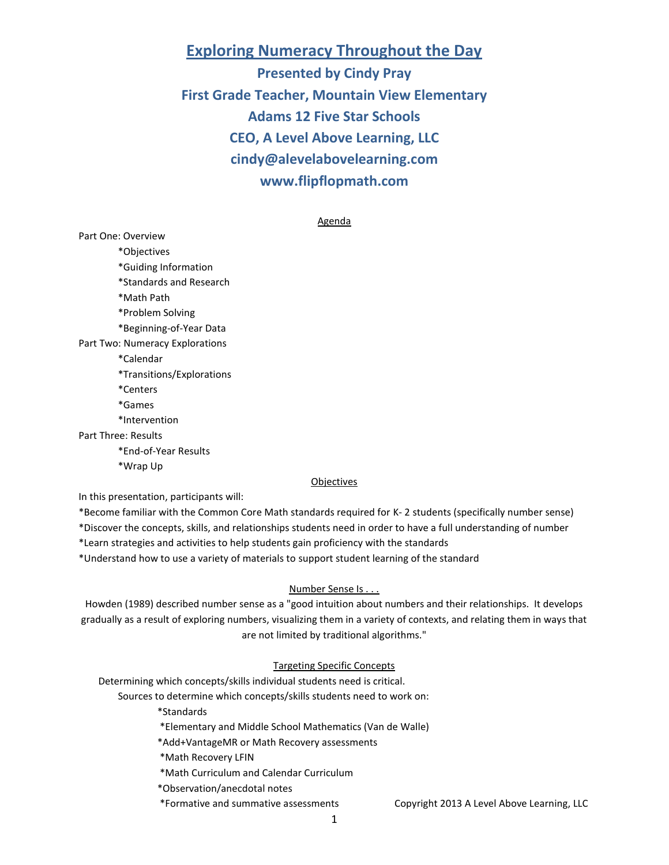# **Exploring Numeracy Throughout the Day**

**Presented by Cindy Pray First Grade Teacher, Mountain View Elementary Adams 12 Five Star Schools CEO, A Level Above Learning, LLC [cindy@alevelabovelearning.com](mailto:cindy@alevelabovelearning.com) [www.flipflopmath.com](http://www.flipflopmath.com/)**

#### Agenda

Part One: Overview \*Objectives \*Guiding Information \*Standards and Research \*Math Path \*Problem Solving \*Beginning-of-Year Data Part Two: Numeracy Explorations \*Calendar \*Transitions/Explorations \*Centers \*Games \*Intervention Part Three: Results

\*End-of-Year Results

\*Wrap Up

#### **Objectives**

In this presentation, participants will:

\*Become familiar with the Common Core Math standards required for K- 2 students (specifically number sense)

\*Discover the concepts, skills, and relationships students need in order to have a full understanding of number

\*Learn strategies and activities to help students gain proficiency with the standards

\*Understand how to use a variety of materials to support student learning of the standard

# Number Sense Is . . .

Howden (1989) described number sense as a "good intuition about numbers and their relationships. It develops gradually as a result of exploring numbers, visualizing them in a variety of contexts, and relating them in ways that are not limited by traditional algorithms."

### Targeting Specific Concepts

Determining which concepts/skills individual students need is critical.

Sources to determine which concepts/skills students need to work on:

\*Standards

\*Elementary and Middle School Mathematics (Van de Walle)

\*Add+VantageMR or Math Recovery assessments

\*Math Recovery LFIN

\*Math Curriculum and Calendar Curriculum

\*Observation/anecdotal notes

\*Formative and summative assessments Copyright 2013 A Level Above Learning, LLC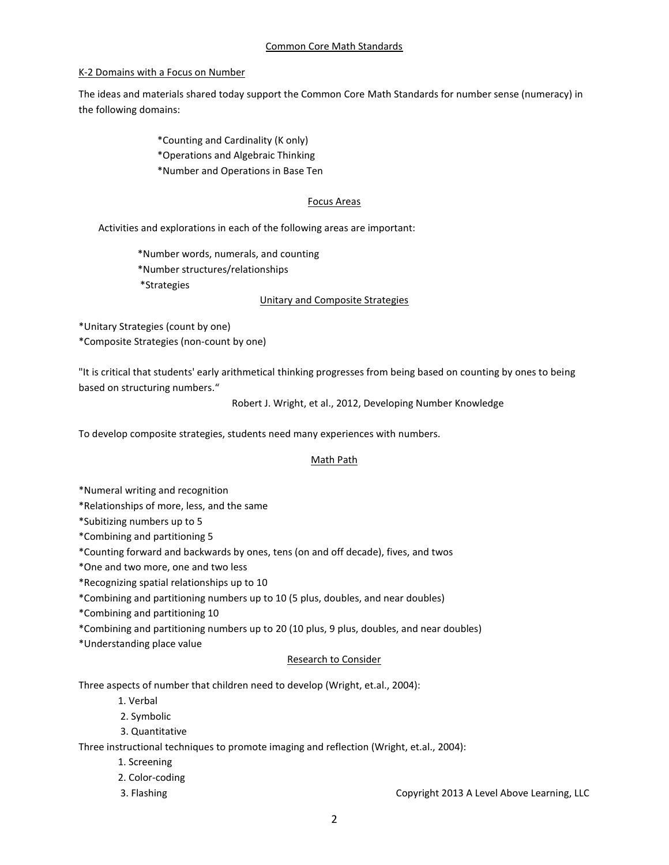# K-2 Domains with a Focus on Number

The ideas and materials shared today support the Common Core Math Standards for number sense (numeracy) in the following domains:

> \*Counting and Cardinality (K only) \*Operations and Algebraic Thinking \*Number and Operations in Base Ten

### Focus Areas

Activities and explorations in each of the following areas are important:

\*Number words, numerals, and counting \*Number structures/relationships \*Strategies

# Unitary and Composite Strategies

\*Unitary Strategies (count by one)

\*Composite Strategies (non-count by one)

"It is critical that students' early arithmetical thinking progresses from being based on counting by ones to being based on structuring numbers."

Robert J. Wright, et al., 2012, Developing Number Knowledge

To develop composite strategies, students need many experiences with numbers.

# Math Path

- \*Numeral writing and recognition
- \*Relationships of more, less, and the same
- \*Subitizing numbers up to 5
- \*Combining and partitioning 5
- \*Counting forward and backwards by ones, tens (on and off decade), fives, and twos
- \*One and two more, one and two less
- \*Recognizing spatial relationships up to 10
- \*Combining and partitioning numbers up to 10 (5 plus, doubles, and near doubles)
- \*Combining and partitioning 10
- \*Combining and partitioning numbers up to 20 (10 plus, 9 plus, doubles, and near doubles)
- \*Understanding place value

# Research to Consider

Three aspects of number that children need to develop (Wright, et.al., 2004):

- 1. Verbal
- 2. Symbolic
- 3. Quantitative

Three instructional techniques to promote imaging and reflection (Wright, et.al., 2004):

- 1. Screening
- 2. Color-coding
- 

3. Flashing Copyright 2013 A Level Above Learning, LLC